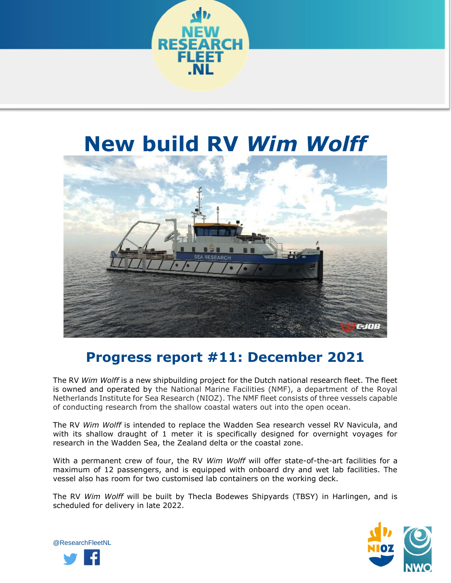

## **New build RV** *Wim Wolff*



## **Progress report #11: December 2021**

The RV *Wim Wolff* is a new shipbuilding project for the Dutch national research fleet. The fleet is owned and operated by the National Marine Facilities (NMF), a department of the Royal Netherlands Institute for Sea Research (NIOZ). The NMF fleet consists of three vessels capable of conducting research from the shallow coastal waters out into the open ocean.

The RV *Wim Wolff* is intended to replace the Wadden Sea research vessel RV Navicula, and with its shallow draught of 1 meter it is specifically designed for overnight voyages for research in the Wadden Sea, the Zealand delta or the coastal zone.

With a permanent crew of four, the RV *Wim Wolff* will offer state-of-the-art facilities for a maximum of 12 passengers, and is equipped with onboard dry and wet lab facilities. The vessel also has room for two customised lab containers on the working deck.

The RV *Wim Wolff* will be built by Thecla Bodewes Shipyards (TBSY) in Harlingen, and is scheduled for delivery in late 2022.



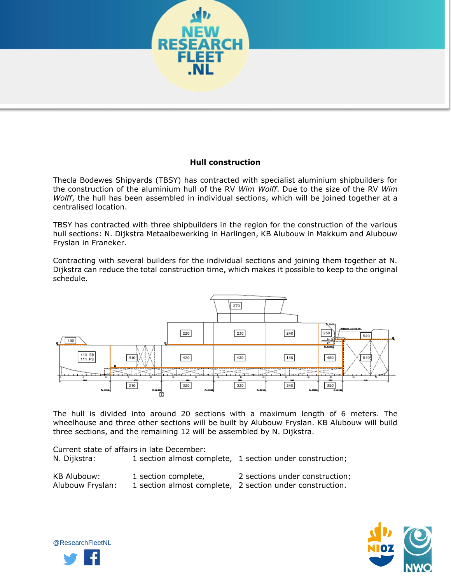

## **Hull construction**

Thecla Bodewes Shipyards (TBSY) has contracted with specialist aluminium shipbuilders for the construction of the aluminium hull of the RV *Wim Wolff*. Due to the size of the RV *Wim Wolff*, the hull has been assembled in individual sections, which will be joined together at a centralised location.

TBSY has contracted with three shipbuilders in the region for the construction of the various hull sections: N. Dijkstra Metaalbewerking in Harlingen, KB Alubouw in Makkum and Alubouw Fryslan in Franeker.

Contracting with several builders for the individual sections and joining them together at N. Dijkstra can reduce the total construction time, which makes it possible to keep to the original schedule.



The hull is divided into around 20 sections with a maximum length of 6 meters. The wheelhouse and three other sections will be built by Alubouw Fryslan. KB Alubouw will build three sections, and the remaining 12 will be assembled by N. Dijkstra.

Current state of affairs in late December: N. Dijkstra: 1 section almost complete, 1 section under construction;

| <b>KB Alubouw:</b> | 1 section complete, | 2 sections under construction;                           |
|--------------------|---------------------|----------------------------------------------------------|
| Alubouw Fryslan:   |                     | 1 section almost complete, 2 section under construction. |